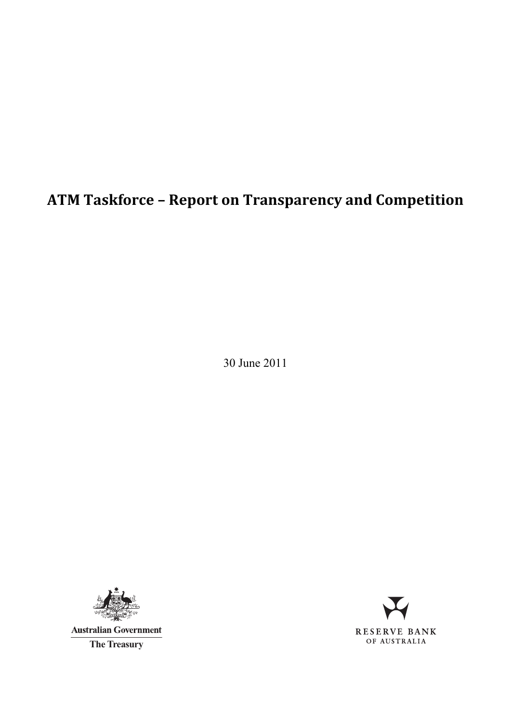# **ATM Taskforce – Report on Transparency and Competition**

30 June 2011



**Australian Government** 

**The Treasury**

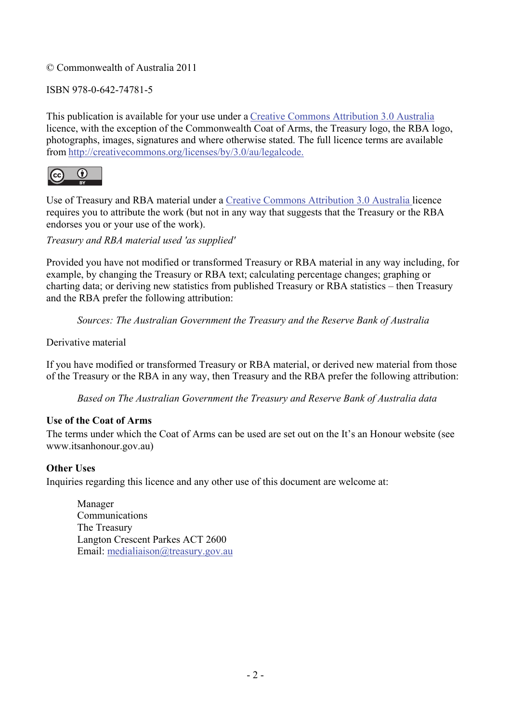#### © Commonwealth of Australia 2011

#### ISBN 978-0-642-74781-5

This publication is available for your use under a Creative Commons Attribution 3.0 Australia licence, with the exception of the Commonwealth Coat of Arms, the Treasury logo, the RBA logo, photographs, images, signatures and where otherwise stated. The full licence terms are available from http://creativecommons.org/licenses/by/3.0/au/legalcode.



Use of Treasury and RBA material under a Creative Commons Attribution 3.0 Australia licence requires you to attribute the work (but not in any way that suggests that the Treasury or the RBA endorses you or your use of the work).

*Treasury and RBA material used 'as supplied'* 

Provided you have not modified or transformed Treasury or RBA material in any way including, for example, by changing the Treasury or RBA text; calculating percentage changes; graphing or charting data; or deriving new statistics from published Treasury or RBA statistics – then Treasury and the RBA prefer the following attribution:

*Sources: The Australian Government the Treasury and the Reserve Bank of Australia*

Derivative material

If you have modified or transformed Treasury or RBA material, or derived new material from those of the Treasury or the RBA in any way, then Treasury and the RBA prefer the following attribution:

*Based on The Australian Government the Treasury and Reserve Bank of Australia data*

#### **Use of the Coat of Arms**

The terms under which the Coat of Arms can be used are set out on the It's an Honour website (see www.itsanhonour.gov.au)

#### **Other Uses**

Inquiries regarding this licence and any other use of this document are welcome at:

Manager Communications The Treasury Langton Crescent Parkes ACT 2600 Email: medialiaison@treasury.gov.au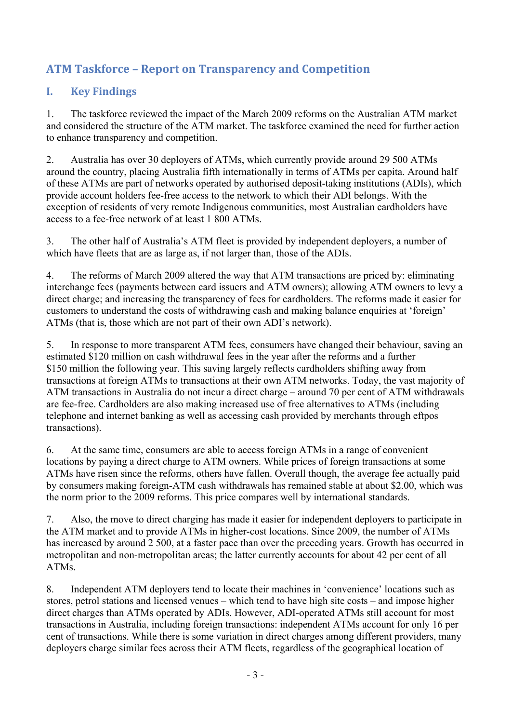# **ATM Taskforce – Report on Transparency and Competition**

# **I. Key Findings**

1. The taskforce reviewed the impact of the March 2009 reforms on the Australian ATM market and considered the structure of the ATM market. The taskforce examined the need for further action to enhance transparency and competition.

2. Australia has over 30 deployers of ATMs, which currently provide around 29 500 ATMs around the country, placing Australia fifth internationally in terms of ATMs per capita. Around half of these ATMs are part of networks operated by authorised deposit-taking institutions (ADIs), which provide account holders fee-free access to the network to which their ADI belongs. With the exception of residents of very remote Indigenous communities, most Australian cardholders have access to a fee-free network of at least 1 800 ATMs.

3. The other half of Australia's ATM fleet is provided by independent deployers, a number of which have fleets that are as large as, if not larger than, those of the ADIs.

4. The reforms of March 2009 altered the way that ATM transactions are priced by: eliminating interchange fees (payments between card issuers and ATM owners); allowing ATM owners to levy a direct charge; and increasing the transparency of fees for cardholders. The reforms made it easier for customers to understand the costs of withdrawing cash and making balance enquiries at 'foreign' ATMs (that is, those which are not part of their own ADI's network).

5. In response to more transparent ATM fees, consumers have changed their behaviour, saving an estimated \$120 million on cash withdrawal fees in the year after the reforms and a further \$150 million the following year. This saving largely reflects cardholders shifting away from transactions at foreign ATMs to transactions at their own ATM networks. Today, the vast majority of ATM transactions in Australia do not incur a direct charge – around 70 per cent of ATM withdrawals are fee-free. Cardholders are also making increased use of free alternatives to ATMs (including telephone and internet banking as well as accessing cash provided by merchants through eftpos transactions).

6. At the same time, consumers are able to access foreign ATMs in a range of convenient locations by paying a direct charge to ATM owners. While prices of foreign transactions at some ATMs have risen since the reforms, others have fallen. Overall though, the average fee actually paid by consumers making foreign-ATM cash withdrawals has remained stable at about \$2.00, which was the norm prior to the 2009 reforms. This price compares well by international standards.

7. Also, the move to direct charging has made it easier for independent deployers to participate in the ATM market and to provide ATMs in higher-cost locations. Since 2009, the number of ATMs has increased by around 2 500, at a faster pace than over the preceding years. Growth has occurred in metropolitan and non-metropolitan areas; the latter currently accounts for about 42 per cent of all ATMs.

8. Independent ATM deployers tend to locate their machines in 'convenience' locations such as stores, petrol stations and licensed venues – which tend to have high site costs – and impose higher direct charges than ATMs operated by ADIs. However, ADI-operated ATMs still account for most transactions in Australia, including foreign transactions: independent ATMs account for only 16 per cent of transactions. While there is some variation in direct charges among different providers, many deployers charge similar fees across their ATM fleets, regardless of the geographical location of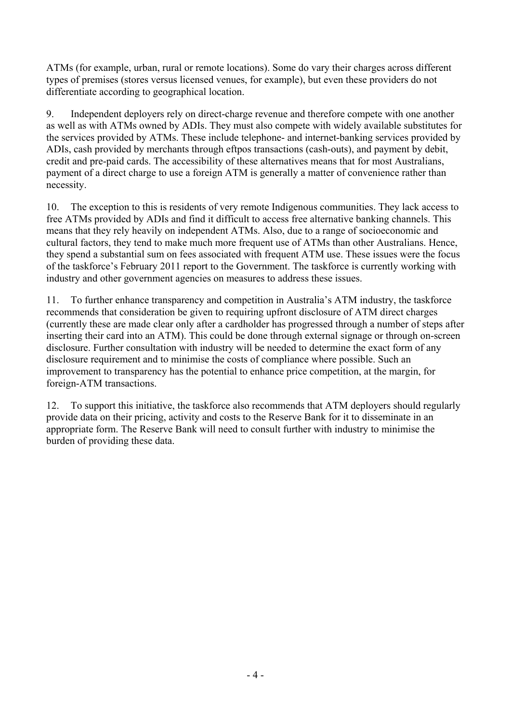ATMs (for example, urban, rural or remote locations). Some do vary their charges across different types of premises (stores versus licensed venues, for example), but even these providers do not differentiate according to geographical location.

9. Independent deployers rely on direct-charge revenue and therefore compete with one another as well as with ATMs owned by ADIs. They must also compete with widely available substitutes for the services provided by ATMs. These include telephone- and internet-banking services provided by ADIs, cash provided by merchants through eftpos transactions (cash-outs), and payment by debit, credit and pre-paid cards. The accessibility of these alternatives means that for most Australians, payment of a direct charge to use a foreign ATM is generally a matter of convenience rather than necessity.

10. The exception to this is residents of very remote Indigenous communities. They lack access to free ATMs provided by ADIs and find it difficult to access free alternative banking channels. This means that they rely heavily on independent ATMs. Also, due to a range of socioeconomic and cultural factors, they tend to make much more frequent use of ATMs than other Australians. Hence, they spend a substantial sum on fees associated with frequent ATM use. These issues were the focus of the taskforce's February 2011 report to the Government. The taskforce is currently working with industry and other government agencies on measures to address these issues.

11. To further enhance transparency and competition in Australia's ATM industry, the taskforce recommends that consideration be given to requiring upfront disclosure of ATM direct charges (currently these are made clear only after a cardholder has progressed through a number of steps after inserting their card into an ATM). This could be done through external signage or through on-screen disclosure. Further consultation with industry will be needed to determine the exact form of any disclosure requirement and to minimise the costs of compliance where possible. Such an improvement to transparency has the potential to enhance price competition, at the margin, for foreign-ATM transactions.

12. To support this initiative, the taskforce also recommends that ATM deployers should regularly provide data on their pricing, activity and costs to the Reserve Bank for it to disseminate in an appropriate form. The Reserve Bank will need to consult further with industry to minimise the burden of providing these data.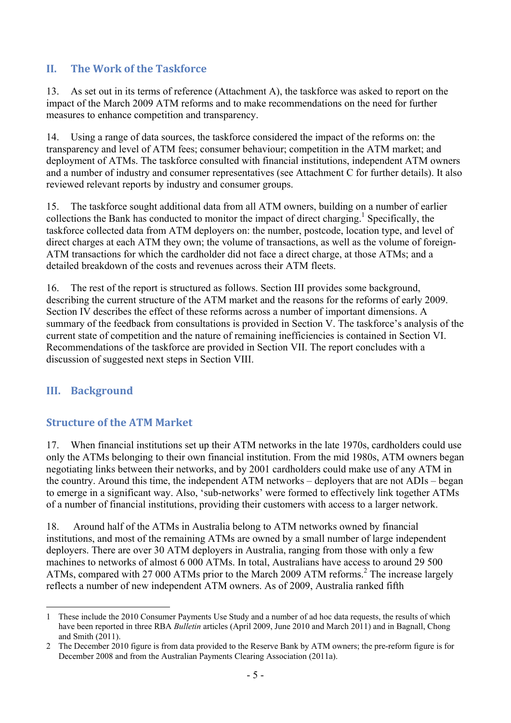#### **II. The Work of the Taskforce**

13. As set out in its terms of reference (Attachment A), the taskforce was asked to report on the impact of the March 2009 ATM reforms and to make recommendations on the need for further measures to enhance competition and transparency.

14. Using a range of data sources, the taskforce considered the impact of the reforms on: the transparency and level of ATM fees; consumer behaviour; competition in the ATM market; and deployment of ATMs. The taskforce consulted with financial institutions, independent ATM owners and a number of industry and consumer representatives (see Attachment C for further details). It also reviewed relevant reports by industry and consumer groups.

15. The taskforce sought additional data from all ATM owners, building on a number of earlier collections the Bank has conducted to monitor the impact of direct charging.<sup>1</sup> Specifically, the taskforce collected data from ATM deployers on: the number, postcode, location type, and level of direct charges at each ATM they own; the volume of transactions, as well as the volume of foreign-ATM transactions for which the cardholder did not face a direct charge, at those ATMs; and a detailed breakdown of the costs and revenues across their ATM fleets.

16. The rest of the report is structured as follows. Section III provides some background, describing the current structure of the ATM market and the reasons for the reforms of early 2009. Section IV describes the effect of these reforms across a number of important dimensions. A summary of the feedback from consultations is provided in Section V. The taskforce's analysis of the current state of competition and the nature of remaining inefficiencies is contained in Section VI. Recommendations of the taskforce are provided in Section VII. The report concludes with a discussion of suggested next steps in Section VIII.

#### **III. Background**

#### **Structure of the ATM Market**

17. When financial institutions set up their ATM networks in the late 1970s, cardholders could use only the ATMs belonging to their own financial institution. From the mid 1980s, ATM owners began negotiating links between their networks, and by 2001 cardholders could make use of any ATM in the country. Around this time, the independent ATM networks – deployers that are not ADIs – began to emerge in a significant way. Also, 'sub-networks' were formed to effectively link together ATMs of a number of financial institutions, providing their customers with access to a larger network.

18. Around half of the ATMs in Australia belong to ATM networks owned by financial institutions, and most of the remaining ATMs are owned by a small number of large independent deployers. There are over 30 ATM deployers in Australia, ranging from those with only a few machines to networks of almost 6 000 ATMs. In total, Australians have access to around 29 500 ATMs, compared with 27 000 ATMs prior to the March 2009 ATM reforms.<sup>2</sup> The increase largely reflects a number of new independent ATM owners. As of 2009, Australia ranked fifth

<sup>&</sup>lt;u>.</u> 1 These include the 2010 Consumer Payments Use Study and a number of ad hoc data requests, the results of which have been reported in three RBA *Bulletin* articles (April 2009, June 2010 and March 2011) and in Bagnall, Chong and Smith (2011).

<sup>2</sup> The December 2010 figure is from data provided to the Reserve Bank by ATM owners; the pre-reform figure is for December 2008 and from the Australian Payments Clearing Association (2011a).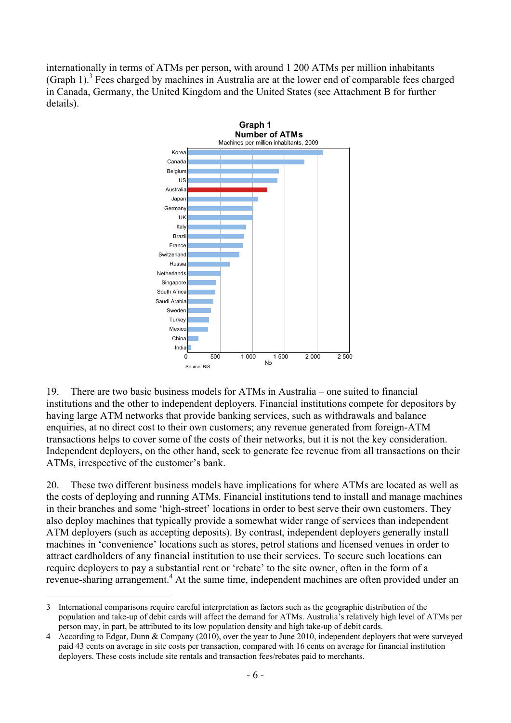internationally in terms of ATMs per person, with around 1 200 ATMs per million inhabitants (Graph 1).<sup>3</sup> Fees charged by machines in Australia are at the lower end of comparable fees charged in Canada, Germany, the United Kingdom and the United States (see Attachment B for further details).



19. There are two basic business models for ATMs in Australia – one suited to financial institutions and the other to independent deployers. Financial institutions compete for depositors by having large ATM networks that provide banking services, such as withdrawals and balance enquiries, at no direct cost to their own customers; any revenue generated from foreign-ATM transactions helps to cover some of the costs of their networks, but it is not the key consideration. Independent deployers, on the other hand, seek to generate fee revenue from all transactions on their ATMs, irrespective of the customer's bank.

20. These two different business models have implications for where ATMs are located as well as the costs of deploying and running ATMs. Financial institutions tend to install and manage machines in their branches and some 'high-street' locations in order to best serve their own customers. They also deploy machines that typically provide a somewhat wider range of services than independent ATM deployers (such as accepting deposits). By contrast, independent deployers generally install machines in 'convenience' locations such as stores, petrol stations and licensed venues in order to attract cardholders of any financial institution to use their services. To secure such locations can require deployers to pay a substantial rent or 'rebate' to the site owner, often in the form of a revenue-sharing arrangement.<sup>4</sup> At the same time, independent machines are often provided under an

<sup>1</sup> 3 International comparisons require careful interpretation as factors such as the geographic distribution of the population and take-up of debit cards will affect the demand for ATMs. Australia's relatively high level of ATMs per person may, in part, be attributed to its low population density and high take-up of debit cards.

<sup>4</sup> According to Edgar, Dunn & Company (2010), over the year to June 2010, independent deployers that were surveyed paid 43 cents on average in site costs per transaction, compared with 16 cents on average for financial institution deployers. These costs include site rentals and transaction fees/rebates paid to merchants.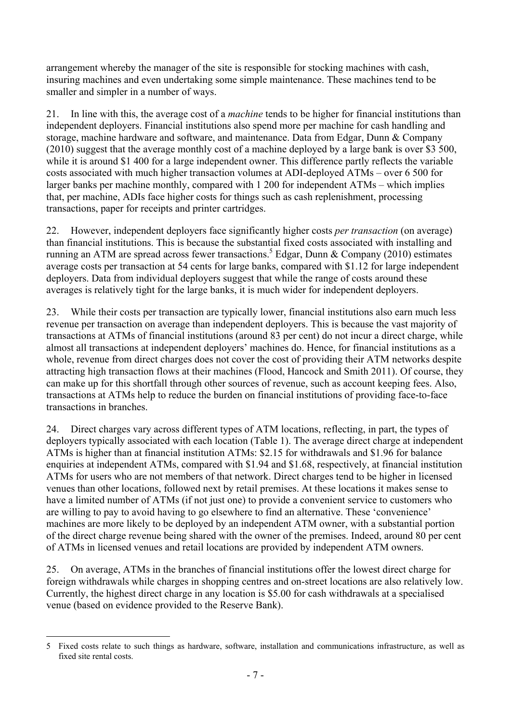arrangement whereby the manager of the site is responsible for stocking machines with cash, insuring machines and even undertaking some simple maintenance. These machines tend to be smaller and simpler in a number of ways.

21. In line with this, the average cost of a *machine* tends to be higher for financial institutions than independent deployers. Financial institutions also spend more per machine for cash handling and storage, machine hardware and software, and maintenance. Data from Edgar, Dunn & Company (2010) suggest that the average monthly cost of a machine deployed by a large bank is over \$3 500, while it is around \$1 400 for a large independent owner. This difference partly reflects the variable costs associated with much higher transaction volumes at ADI-deployed ATMs – over 6 500 for larger banks per machine monthly, compared with 1 200 for independent ATMs – which implies that, per machine, ADIs face higher costs for things such as cash replenishment, processing transactions, paper for receipts and printer cartridges.

22. However, independent deployers face significantly higher costs *per transaction* (on average) than financial institutions. This is because the substantial fixed costs associated with installing and running an ATM are spread across fewer transactions.<sup>5</sup> Edgar, Dunn & Company (2010) estimates average costs per transaction at 54 cents for large banks, compared with \$1.12 for large independent deployers. Data from individual deployers suggest that while the range of costs around these averages is relatively tight for the large banks, it is much wider for independent deployers.

23. While their costs per transaction are typically lower, financial institutions also earn much less revenue per transaction on average than independent deployers. This is because the vast majority of transactions at ATMs of financial institutions (around 83 per cent) do not incur a direct charge, while almost all transactions at independent deployers' machines do. Hence, for financial institutions as a whole, revenue from direct charges does not cover the cost of providing their ATM networks despite attracting high transaction flows at their machines (Flood, Hancock and Smith 2011). Of course, they can make up for this shortfall through other sources of revenue, such as account keeping fees. Also, transactions at ATMs help to reduce the burden on financial institutions of providing face-to-face transactions in branches.

24. Direct charges vary across different types of ATM locations, reflecting, in part, the types of deployers typically associated with each location (Table 1). The average direct charge at independent ATMs is higher than at financial institution ATMs: \$2.15 for withdrawals and \$1.96 for balance enquiries at independent ATMs, compared with \$1.94 and \$1.68, respectively, at financial institution ATMs for users who are not members of that network. Direct charges tend to be higher in licensed venues than other locations, followed next by retail premises. At these locations it makes sense to have a limited number of ATMs (if not just one) to provide a convenient service to customers who are willing to pay to avoid having to go elsewhere to find an alternative. These 'convenience' machines are more likely to be deployed by an independent ATM owner, with a substantial portion of the direct charge revenue being shared with the owner of the premises. Indeed, around 80 per cent of ATMs in licensed venues and retail locations are provided by independent ATM owners.

25. On average, ATMs in the branches of financial institutions offer the lowest direct charge for foreign withdrawals while charges in shopping centres and on-street locations are also relatively low. Currently, the highest direct charge in any location is \$5.00 for cash withdrawals at a specialised venue (based on evidence provided to the Reserve Bank).

<sup>&</sup>lt;u>.</u> 5 Fixed costs relate to such things as hardware, software, installation and communications infrastructure, as well as fixed site rental costs.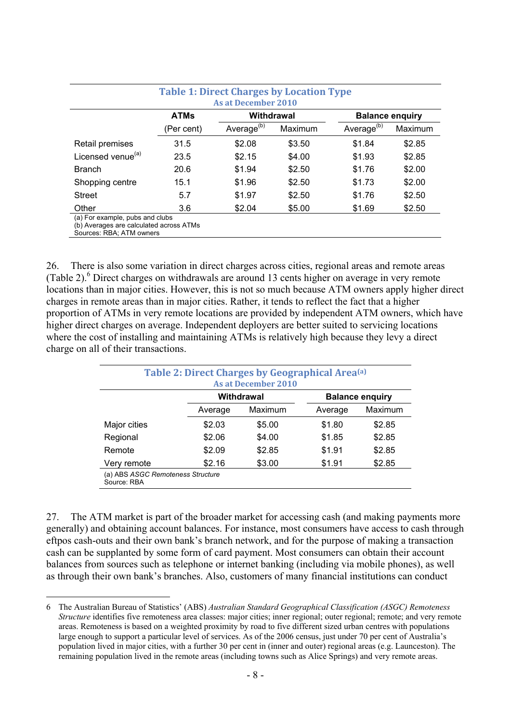|                               | <b>ATMs</b> | Withdrawal             |         | <b>Balance enquiry</b> |         |
|-------------------------------|-------------|------------------------|---------|------------------------|---------|
|                               | (Per cent)  | Average <sup>(b)</sup> | Maximum | Average <sup>(b)</sup> | Maximum |
| Retail premises               | 31.5        | \$2.08                 | \$3.50  | \$1.84                 | \$2.85  |
| Licensed venue <sup>(a)</sup> | 23.5        | \$2.15                 | \$4.00  | \$1.93                 | \$2.85  |
| <b>Branch</b>                 | 20.6        | \$1.94                 | \$2.50  | \$1.76                 | \$2.00  |
| Shopping centre               | 15.1        | \$1.96                 | \$2.50  | \$1.73                 | \$2.00  |
| <b>Street</b>                 | 5.7         | \$1.97                 | \$2.50  | \$1.76                 | \$2.50  |
| Other                         | 3.6         | \$2.04                 | \$5.00  | \$1.69                 | \$2.50  |

26. There is also some variation in direct charges across cities, regional areas and remote areas (Table 2).<sup>6</sup> Direct charges on withdrawals are around 13 cents higher on average in very remote locations than in major cities. However, this is not so much because ATM owners apply higher direct charges in remote areas than in major cities. Rather, it tends to reflect the fact that a higher proportion of ATMs in very remote locations are provided by independent ATM owners, which have higher direct charges on average. Independent deployers are better suited to servicing locations where the cost of installing and maintaining ATMs is relatively high because they levy a direct charge on all of their transactions.

|              |         | <b>As at December 2010</b><br>Withdrawal |         | <b>Balance enquiry</b> |  |
|--------------|---------|------------------------------------------|---------|------------------------|--|
|              | Average | Maximum                                  | Average | Maximum                |  |
| Major cities | \$2.03  | \$5.00                                   | \$1.80  | \$2.85                 |  |
| Regional     | \$2.06  | \$4.00                                   | \$1.85  | \$2.85                 |  |
| Remote       | \$2.09  | \$2.85                                   | \$1.91  | \$2.85                 |  |
| Very remote  | \$2.16  | \$3.00                                   | \$1.91  | \$2.85                 |  |

27. The ATM market is part of the broader market for accessing cash (and making payments more generally) and obtaining account balances. For instance, most consumers have access to cash through eftpos cash-outs and their own bank's branch network, and for the purpose of making a transaction cash can be supplanted by some form of card payment. Most consumers can obtain their account balances from sources such as telephone or internet banking (including via mobile phones), as well as through their own bank's branches. Also, customers of many financial institutions can conduct

1

<sup>6</sup> The Australian Bureau of Statistics' (ABS) *Australian Standard Geographical Classification (ASGC) Remoteness Structure* identifies five remoteness area classes: major cities; inner regional; outer regional; remote; and very remote areas. Remoteness is based on a weighted proximity by road to five different sized urban centres with populations large enough to support a particular level of services. As of the 2006 census, just under 70 per cent of Australia's population lived in major cities, with a further 30 per cent in (inner and outer) regional areas (e.g. Launceston). The remaining population lived in the remote areas (including towns such as Alice Springs) and very remote areas.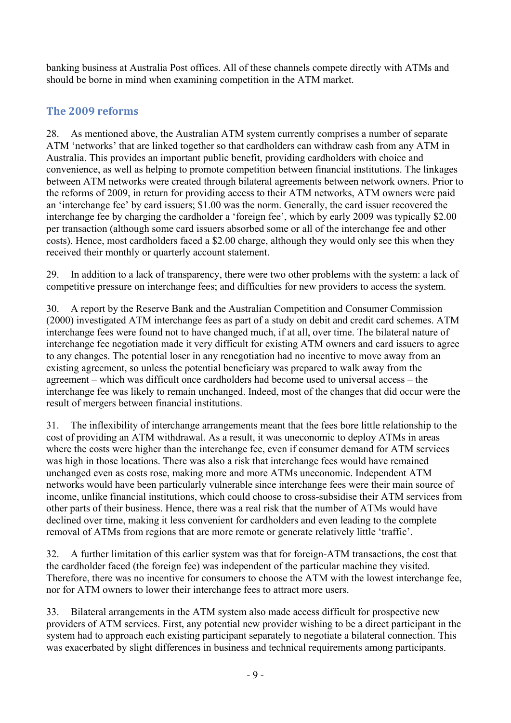banking business at Australia Post offices. All of these channels compete directly with ATMs and should be borne in mind when examining competition in the ATM market.

# **The 2009 reforms**

28. As mentioned above, the Australian ATM system currently comprises a number of separate ATM 'networks' that are linked together so that cardholders can withdraw cash from any ATM in Australia. This provides an important public benefit, providing cardholders with choice and convenience, as well as helping to promote competition between financial institutions. The linkages between ATM networks were created through bilateral agreements between network owners. Prior to the reforms of 2009, in return for providing access to their ATM networks, ATM owners were paid an 'interchange fee' by card issuers; \$1.00 was the norm. Generally, the card issuer recovered the interchange fee by charging the cardholder a 'foreign fee', which by early 2009 was typically \$2.00 per transaction (although some card issuers absorbed some or all of the interchange fee and other costs). Hence, most cardholders faced a \$2.00 charge, although they would only see this when they received their monthly or quarterly account statement.

29. In addition to a lack of transparency, there were two other problems with the system: a lack of competitive pressure on interchange fees; and difficulties for new providers to access the system.

30. A report by the Reserve Bank and the Australian Competition and Consumer Commission (2000) investigated ATM interchange fees as part of a study on debit and credit card schemes. ATM interchange fees were found not to have changed much, if at all, over time. The bilateral nature of interchange fee negotiation made it very difficult for existing ATM owners and card issuers to agree to any changes. The potential loser in any renegotiation had no incentive to move away from an existing agreement, so unless the potential beneficiary was prepared to walk away from the agreement – which was difficult once cardholders had become used to universal access – the interchange fee was likely to remain unchanged. Indeed, most of the changes that did occur were the result of mergers between financial institutions.

31. The inflexibility of interchange arrangements meant that the fees bore little relationship to the cost of providing an ATM withdrawal. As a result, it was uneconomic to deploy ATMs in areas where the costs were higher than the interchange fee, even if consumer demand for ATM services was high in those locations. There was also a risk that interchange fees would have remained unchanged even as costs rose, making more and more ATMs uneconomic. Independent ATM networks would have been particularly vulnerable since interchange fees were their main source of income, unlike financial institutions, which could choose to cross-subsidise their ATM services from other parts of their business. Hence, there was a real risk that the number of ATMs would have declined over time, making it less convenient for cardholders and even leading to the complete removal of ATMs from regions that are more remote or generate relatively little 'traffic'.

32. A further limitation of this earlier system was that for foreign-ATM transactions, the cost that the cardholder faced (the foreign fee) was independent of the particular machine they visited. Therefore, there was no incentive for consumers to choose the ATM with the lowest interchange fee, nor for ATM owners to lower their interchange fees to attract more users.

33. Bilateral arrangements in the ATM system also made access difficult for prospective new providers of ATM services. First, any potential new provider wishing to be a direct participant in the system had to approach each existing participant separately to negotiate a bilateral connection. This was exacerbated by slight differences in business and technical requirements among participants.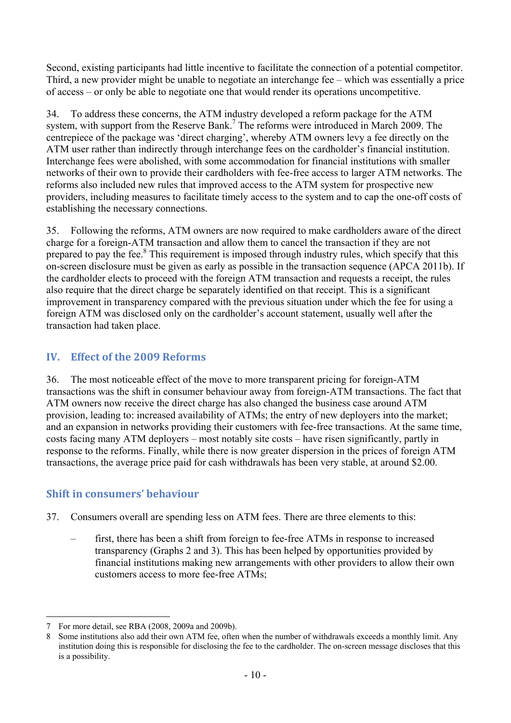Second, existing participants had little incentive to facilitate the connection of a potential competitor. Third, a new provider might be unable to negotiate an interchange fee – which was essentially a price of access – or only be able to negotiate one that would render its operations uncompetitive.

34. To address these concerns, the ATM industry developed a reform package for the ATM system, with support from the Reserve Bank.<sup>7</sup> The reforms were introduced in March 2009. The centrepiece of the package was 'direct charging', whereby ATM owners levy a fee directly on the ATM user rather than indirectly through interchange fees on the cardholder's financial institution. Interchange fees were abolished, with some accommodation for financial institutions with smaller networks of their own to provide their cardholders with fee-free access to larger ATM networks. The reforms also included new rules that improved access to the ATM system for prospective new providers, including measures to facilitate timely access to the system and to cap the one-off costs of establishing the necessary connections.

35. Following the reforms, ATM owners are now required to make cardholders aware of the direct charge for a foreign-ATM transaction and allow them to cancel the transaction if they are not prepared to pay the fee.<sup>8</sup> This requirement is imposed through industry rules, which specify that this on-screen disclosure must be given as early as possible in the transaction sequence (APCA 2011b). If the cardholder elects to proceed with the foreign ATM transaction and requests a receipt, the rules also require that the direct charge be separately identified on that receipt. This is a significant improvement in transparency compared with the previous situation under which the fee for using a foreign ATM was disclosed only on the cardholder's account statement, usually well after the transaction had taken place.

# **IV. Effect of the 2009 Reforms**

36. The most noticeable effect of the move to more transparent pricing for foreign-ATM transactions was the shift in consumer behaviour away from foreign-ATM transactions. The fact that ATM owners now receive the direct charge has also changed the business case around ATM provision, leading to: increased availability of ATMs; the entry of new deployers into the market; and an expansion in networks providing their customers with fee-free transactions. At the same time, costs facing many ATM deployers – most notably site costs – have risen significantly, partly in response to the reforms. Finally, while there is now greater dispersion in the prices of foreign ATM transactions, the average price paid for cash withdrawals has been very stable, at around \$2.00.

## **Shift in consumers' behaviour**

- 37. Consumers overall are spending less on ATM fees. There are three elements to this:
	- first, there has been a shift from foreign to fee-free ATMs in response to increased transparency (Graphs 2 and 3). This has been helped by opportunities provided by financial institutions making new arrangements with other providers to allow their own customers access to more fee-free ATMs;

<sup>1</sup> 7 For more detail, see RBA (2008, 2009a and 2009b).

Some institutions also add their own ATM fee, often when the number of withdrawals exceeds a monthly limit. Any institution doing this is responsible for disclosing the fee to the cardholder. The on-screen message discloses that this is a possibility.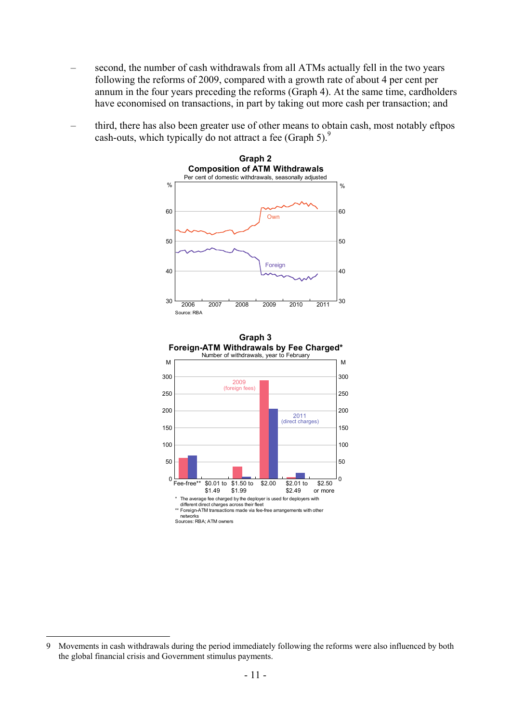- second, the number of cash withdrawals from all ATMs actually fell in the two years following the reforms of 2009, compared with a growth rate of about 4 per cent per annum in the four years preceding the reforms (Graph 4). At the same time, cardholders have economised on transactions, in part by taking out more cash per transaction; and
- third, there has also been greater use of other means to obtain cash, most notably eftpos cash-outs, which typically do not attract a fee (Graph 5).<sup>9</sup>





<u>.</u>

<sup>9</sup> Movements in cash withdrawals during the period immediately following the reforms were also influenced by both the global financial crisis and Government stimulus payments.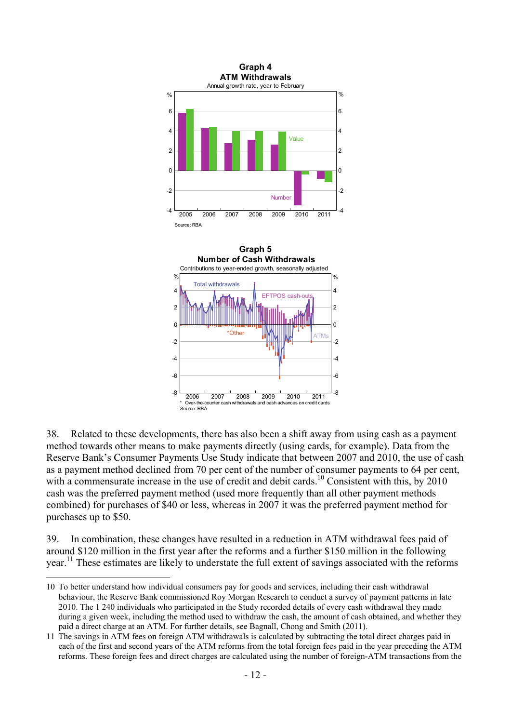

38. Related to these developments, there has also been a shift away from using cash as a payment method towards other means to make payments directly (using cards, for example). Data from the Reserve Bank's Consumer Payments Use Study indicate that between 2007 and 2010, the use of cash as a payment method declined from 70 per cent of the number of consumer payments to 64 per cent, with a commensurate increase in the use of credit and debit cards.<sup>10</sup> Consistent with this, by 2010 cash was the preferred payment method (used more frequently than all other payment methods combined) for purchases of \$40 or less, whereas in 2007 it was the preferred payment method for purchases up to \$50.

39. In combination, these changes have resulted in a reduction in ATM withdrawal fees paid of around \$120 million in the first year after the reforms and a further \$150 million in the following year.11 These estimates are likely to understate the full extent of savings associated with the reforms

<u>.</u>

<sup>10</sup> To better understand how individual consumers pay for goods and services, including their cash withdrawal behaviour, the Reserve Bank commissioned Roy Morgan Research to conduct a survey of payment patterns in late 2010. The 1 240 individuals who participated in the Study recorded details of every cash withdrawal they made during a given week, including the method used to withdraw the cash, the amount of cash obtained, and whether they paid a direct charge at an ATM. For further details, see Bagnall, Chong and Smith (2011).

<sup>11</sup> The savings in ATM fees on foreign ATM withdrawals is calculated by subtracting the total direct charges paid in each of the first and second years of the ATM reforms from the total foreign fees paid in the year preceding the ATM reforms. These foreign fees and direct charges are calculated using the number of foreign-ATM transactions from the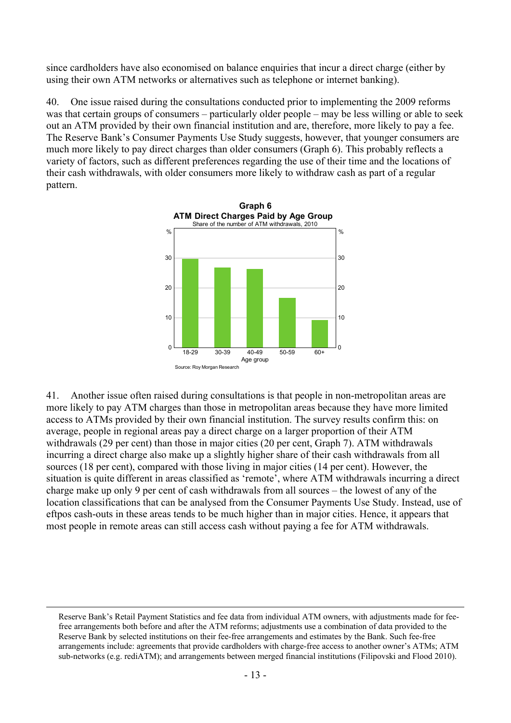since cardholders have also economised on balance enquiries that incur a direct charge (either by using their own ATM networks or alternatives such as telephone or internet banking).

40. One issue raised during the consultations conducted prior to implementing the 2009 reforms was that certain groups of consumers – particularly older people – may be less willing or able to seek out an ATM provided by their own financial institution and are, therefore, more likely to pay a fee. The Reserve Bank's Consumer Payments Use Study suggests, however, that younger consumers are much more likely to pay direct charges than older consumers (Graph 6). This probably reflects a variety of factors, such as different preferences regarding the use of their time and the locations of their cash withdrawals, with older consumers more likely to withdraw cash as part of a regular pattern.



41. Another issue often raised during consultations is that people in non-metropolitan areas are more likely to pay ATM charges than those in metropolitan areas because they have more limited access to ATMs provided by their own financial institution. The survey results confirm this: on average, people in regional areas pay a direct charge on a larger proportion of their ATM withdrawals (29 per cent) than those in major cities (20 per cent, Graph 7). ATM withdrawals incurring a direct charge also make up a slightly higher share of their cash withdrawals from all sources (18 per cent), compared with those living in major cities (14 per cent). However, the situation is quite different in areas classified as 'remote', where ATM withdrawals incurring a direct charge make up only 9 per cent of cash withdrawals from all sources – the lowest of any of the location classifications that can be analysed from the Consumer Payments Use Study. Instead, use of eftpos cash-outs in these areas tends to be much higher than in major cities. Hence, it appears that most people in remote areas can still access cash without paying a fee for ATM withdrawals.

Reserve Bank's Retail Payment Statistics and fee data from individual ATM owners, with adjustments made for feefree arrangements both before and after the ATM reforms; adjustments use a combination of data provided to the Reserve Bank by selected institutions on their fee-free arrangements and estimates by the Bank. Such fee-free arrangements include: agreements that provide cardholders with charge-free access to another owner's ATMs; ATM sub-networks (e.g. rediATM); and arrangements between merged financial institutions (Filipovski and Flood 2010).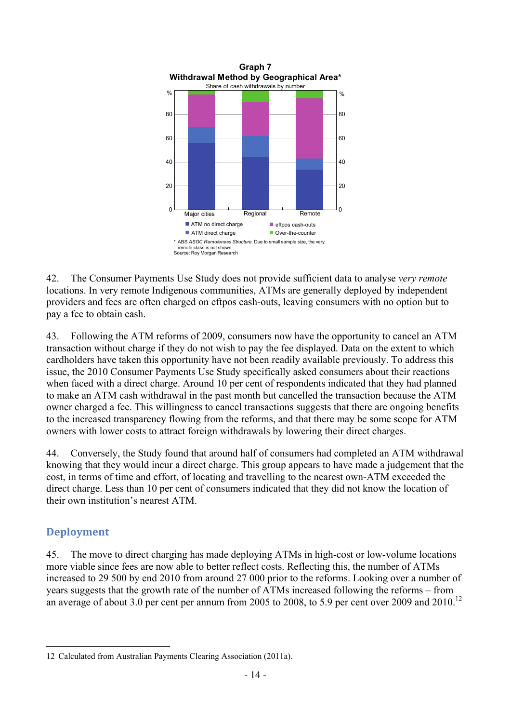

42. The Consumer Payments Use Study does not provide sufficient data to analyse *very remote* locations. In very remote Indigenous communities, ATMs are generally deployed by independent providers and fees are often charged on eftpos cash-outs, leaving consumers with no option but to pay a fee to obtain cash.

43. Following the ATM reforms of 2009, consumers now have the opportunity to cancel an ATM transaction without charge if they do not wish to pay the fee displayed. Data on the extent to which cardholders have taken this opportunity have not been readily available previously. To address this issue, the 2010 Consumer Payments Use Study specifically asked consumers about their reactions when faced with a direct charge. Around 10 per cent of respondents indicated that they had planned to make an ATM cash withdrawal in the past month but cancelled the transaction because the ATM owner charged a fee. This willingness to cancel transactions suggests that there are ongoing benefits to the increased transparency flowing from the reforms, and that there may be some scope for ATM owners with lower costs to attract foreign withdrawals by lowering their direct charges.

44. Conversely, the Study found that around half of consumers had completed an ATM withdrawal knowing that they would incur a direct charge. This group appears to have made a judgement that the cost, in terms of time and effort, of locating and travelling to the nearest own-ATM exceeded the direct charge. Less than 10 per cent of consumers indicated that they did not know the location of their own institution's nearest ATM.

## **Deployment**

1

45. The move to direct charging has made deploying ATMs in high-cost or low-volume locations more viable since fees are now able to better reflect costs. Reflecting this, the number of ATMs increased to 29 500 by end 2010 from around 27 000 prior to the reforms. Looking over a number of years suggests that the growth rate of the number of ATMs increased following the reforms – from an average of about 3.0 per cent per annum from 2005 to 2008, to 5.9 per cent over 2009 and 2010.<sup>12</sup>

<sup>12</sup> Calculated from Australian Payments Clearing Association (2011a).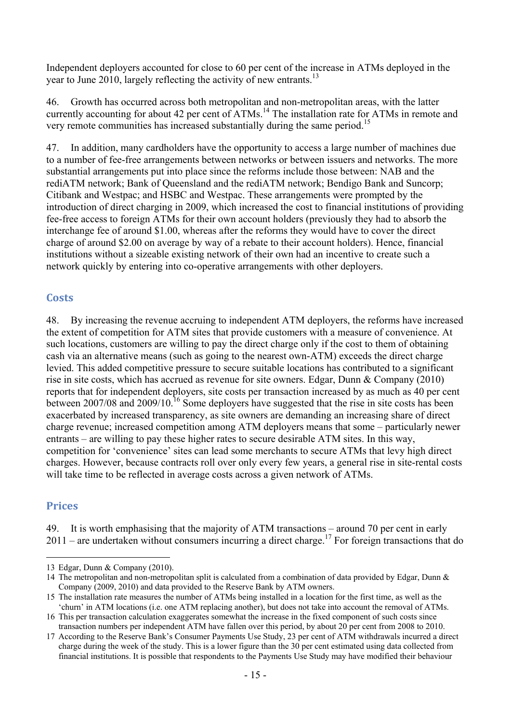Independent deployers accounted for close to 60 per cent of the increase in ATMs deployed in the year to June 2010, largely reflecting the activity of new entrants.<sup>13</sup>

46. Growth has occurred across both metropolitan and non-metropolitan areas, with the latter currently accounting for about 42 per cent of ATMs.<sup>14</sup> The installation rate for ATMs in remote and very remote communities has increased substantially during the same period.15

47. In addition, many cardholders have the opportunity to access a large number of machines due to a number of fee-free arrangements between networks or between issuers and networks. The more substantial arrangements put into place since the reforms include those between: NAB and the rediATM network; Bank of Queensland and the rediATM network; Bendigo Bank and Suncorp; Citibank and Westpac; and HSBC and Westpac. These arrangements were prompted by the introduction of direct charging in 2009, which increased the cost to financial institutions of providing fee-free access to foreign ATMs for their own account holders (previously they had to absorb the interchange fee of around \$1.00, whereas after the reforms they would have to cover the direct charge of around \$2.00 on average by way of a rebate to their account holders). Hence, financial institutions without a sizeable existing network of their own had an incentive to create such a network quickly by entering into co-operative arrangements with other deployers.

#### **Costs**

48. By increasing the revenue accruing to independent ATM deployers, the reforms have increased the extent of competition for ATM sites that provide customers with a measure of convenience. At such locations, customers are willing to pay the direct charge only if the cost to them of obtaining cash via an alternative means (such as going to the nearest own-ATM) exceeds the direct charge levied. This added competitive pressure to secure suitable locations has contributed to a significant rise in site costs, which has accrued as revenue for site owners. Edgar, Dunn & Company (2010) reports that for independent deployers, site costs per transaction increased by as much as 40 per cent between 2007/08 and 2009/10.16 Some deployers have suggested that the rise in site costs has been exacerbated by increased transparency, as site owners are demanding an increasing share of direct charge revenue; increased competition among ATM deployers means that some – particularly newer entrants – are willing to pay these higher rates to secure desirable ATM sites. In this way, competition for 'convenience' sites can lead some merchants to secure ATMs that levy high direct charges. However, because contracts roll over only every few years, a general rise in site-rental costs will take time to be reflected in average costs across a given network of ATMs.

#### **Prices**

1

49. It is worth emphasising that the majority of ATM transactions – around 70 per cent in early  $2011$  – are undertaken without consumers incurring a direct charge.<sup>17</sup> For foreign transactions that do

<sup>13</sup> Edgar, Dunn & Company (2010).

<sup>14</sup> The metropolitan and non-metropolitan split is calculated from a combination of data provided by Edgar, Dunn & Company (2009, 2010) and data provided to the Reserve Bank by ATM owners.

<sup>15</sup> The installation rate measures the number of ATMs being installed in a location for the first time, as well as the 'churn' in ATM locations (i.e. one ATM replacing another), but does not take into account the removal of ATMs.

<sup>16</sup> This per transaction calculation exaggerates somewhat the increase in the fixed component of such costs since transaction numbers per independent ATM have fallen over this period, by about 20 per cent from 2008 to 2010.

<sup>17</sup> According to the Reserve Bank's Consumer Payments Use Study, 23 per cent of ATM withdrawals incurred a direct charge during the week of the study. This is a lower figure than the 30 per cent estimated using data collected from financial institutions. It is possible that respondents to the Payments Use Study may have modified their behaviour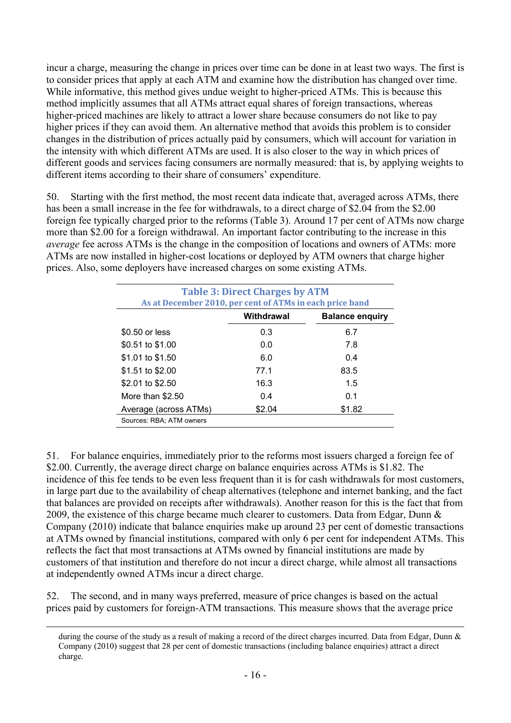incur a charge, measuring the change in prices over time can be done in at least two ways. The first is to consider prices that apply at each ATM and examine how the distribution has changed over time. While informative, this method gives undue weight to higher-priced ATMs. This is because this method implicitly assumes that all ATMs attract equal shares of foreign transactions, whereas higher-priced machines are likely to attract a lower share because consumers do not like to pay higher prices if they can avoid them. An alternative method that avoids this problem is to consider changes in the distribution of prices actually paid by consumers, which will account for variation in the intensity with which different ATMs are used. It is also closer to the way in which prices of different goods and services facing consumers are normally measured: that is, by applying weights to different items according to their share of consumers' expenditure.

50. Starting with the first method, the most recent data indicate that, averaged across ATMs, there has been a small increase in the fee for withdrawals, to a direct charge of \$2.04 from the \$2.00 foreign fee typically charged prior to the reforms (Table 3). Around 17 per cent of ATMs now charge more than \$2.00 for a foreign withdrawal. An important factor contributing to the increase in this *average* fee across ATMs is the change in the composition of locations and owners of ATMs: more ATMs are now installed in higher-cost locations or deployed by ATM owners that charge higher prices. Also, some deployers have increased charges on some existing ATMs.

| <b>Table 3: Direct Charges by ATM</b><br>As at December 2010, per cent of ATMs in each price band |            |                        |  |  |
|---------------------------------------------------------------------------------------------------|------------|------------------------|--|--|
|                                                                                                   | Withdrawal | <b>Balance enguiry</b> |  |  |
| \$0.50 or less                                                                                    | 0.3        | 6.7                    |  |  |
| \$0.51 to \$1.00                                                                                  | 0.0        | 7.8                    |  |  |
| \$1.01 to \$1.50                                                                                  | 6.0        | 0.4                    |  |  |
| \$1.51 to \$2.00                                                                                  | 77.1       | 83.5                   |  |  |
| \$2.01 to \$2.50                                                                                  | 16.3       | 1.5                    |  |  |
| More than \$2.50                                                                                  | 0.4        | 0.1                    |  |  |
| Average (across ATMs)                                                                             | \$2.04     | \$1.82                 |  |  |
| Sources: RBA: ATM owners                                                                          |            |                        |  |  |

51. For balance enquiries, immediately prior to the reforms most issuers charged a foreign fee of \$2.00. Currently, the average direct charge on balance enquiries across ATMs is \$1.82. The incidence of this fee tends to be even less frequent than it is for cash withdrawals for most customers, in large part due to the availability of cheap alternatives (telephone and internet banking, and the fact that balances are provided on receipts after withdrawals). Another reason for this is the fact that from 2009, the existence of this charge became much clearer to customers. Data from Edgar, Dunn & Company (2010) indicate that balance enquiries make up around 23 per cent of domestic transactions at ATMs owned by financial institutions, compared with only 6 per cent for independent ATMs. This reflects the fact that most transactions at ATMs owned by financial institutions are made by customers of that institution and therefore do not incur a direct charge, while almost all transactions at independently owned ATMs incur a direct charge.

52. The second, and in many ways preferred, measure of price changes is based on the actual prices paid by customers for foreign-ATM transactions. This measure shows that the average price

during the course of the study as a result of making a record of the direct charges incurred. Data from Edgar, Dunn  $\&$ Company (2010) suggest that 28 per cent of domestic transactions (including balance enquiries) attract a direct charge.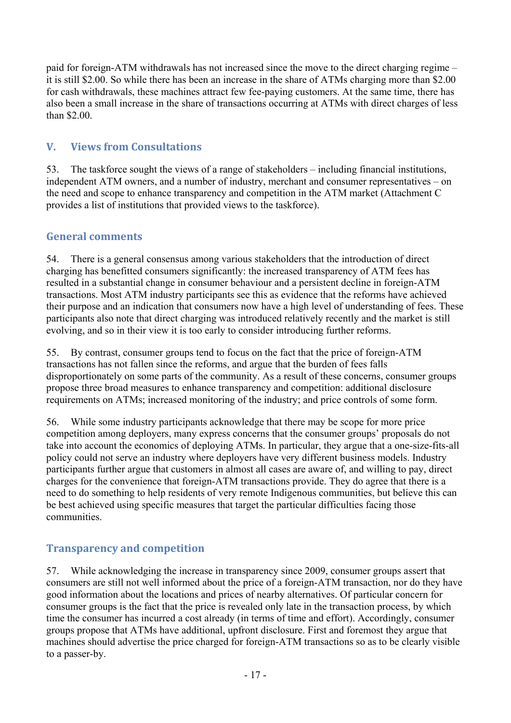paid for foreign-ATM withdrawals has not increased since the move to the direct charging regime – it is still \$2.00. So while there has been an increase in the share of ATMs charging more than \$2.00 for cash withdrawals, these machines attract few fee-paying customers. At the same time, there has also been a small increase in the share of transactions occurring at ATMs with direct charges of less than \$2.00.

# **V. Views from Consultations**

53. The taskforce sought the views of a range of stakeholders – including financial institutions, independent ATM owners, and a number of industry, merchant and consumer representatives – on the need and scope to enhance transparency and competition in the ATM market (Attachment C provides a list of institutions that provided views to the taskforce).

## **General comments**

54. There is a general consensus among various stakeholders that the introduction of direct charging has benefitted consumers significantly: the increased transparency of ATM fees has resulted in a substantial change in consumer behaviour and a persistent decline in foreign-ATM transactions. Most ATM industry participants see this as evidence that the reforms have achieved their purpose and an indication that consumers now have a high level of understanding of fees. These participants also note that direct charging was introduced relatively recently and the market is still evolving, and so in their view it is too early to consider introducing further reforms.

55. By contrast, consumer groups tend to focus on the fact that the price of foreign-ATM transactions has not fallen since the reforms, and argue that the burden of fees falls disproportionately on some parts of the community. As a result of these concerns, consumer groups propose three broad measures to enhance transparency and competition: additional disclosure requirements on ATMs; increased monitoring of the industry; and price controls of some form.

56. While some industry participants acknowledge that there may be scope for more price competition among deployers, many express concerns that the consumer groups' proposals do not take into account the economics of deploying ATMs. In particular, they argue that a one-size-fits-all policy could not serve an industry where deployers have very different business models. Industry participants further argue that customers in almost all cases are aware of, and willing to pay, direct charges for the convenience that foreign-ATM transactions provide. They do agree that there is a need to do something to help residents of very remote Indigenous communities, but believe this can be best achieved using specific measures that target the particular difficulties facing those communities.

## **Transparency and competition**

57. While acknowledging the increase in transparency since 2009, consumer groups assert that consumers are still not well informed about the price of a foreign-ATM transaction, nor do they have good information about the locations and prices of nearby alternatives. Of particular concern for consumer groups is the fact that the price is revealed only late in the transaction process, by which time the consumer has incurred a cost already (in terms of time and effort). Accordingly, consumer groups propose that ATMs have additional, upfront disclosure. First and foremost they argue that machines should advertise the price charged for foreign-ATM transactions so as to be clearly visible to a passer-by.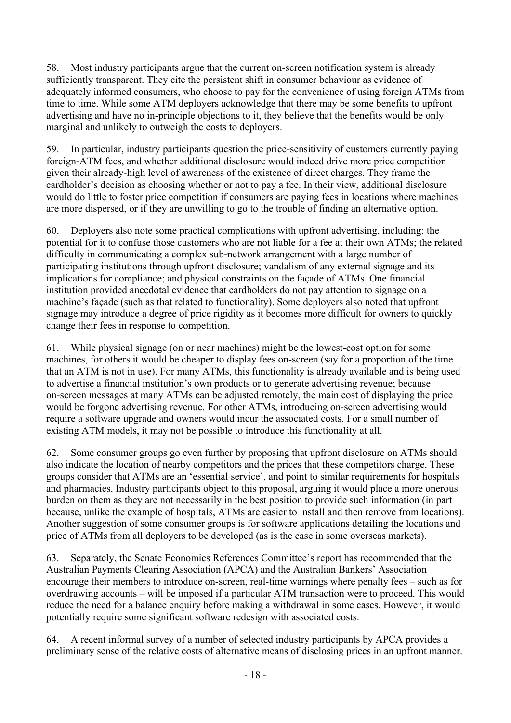58. Most industry participants argue that the current on-screen notification system is already sufficiently transparent. They cite the persistent shift in consumer behaviour as evidence of adequately informed consumers, who choose to pay for the convenience of using foreign ATMs from time to time. While some ATM deployers acknowledge that there may be some benefits to upfront advertising and have no in-principle objections to it, they believe that the benefits would be only marginal and unlikely to outweigh the costs to deployers.

59. In particular, industry participants question the price-sensitivity of customers currently paying foreign-ATM fees, and whether additional disclosure would indeed drive more price competition given their already-high level of awareness of the existence of direct charges. They frame the cardholder's decision as choosing whether or not to pay a fee. In their view, additional disclosure would do little to foster price competition if consumers are paying fees in locations where machines are more dispersed, or if they are unwilling to go to the trouble of finding an alternative option.

60. Deployers also note some practical complications with upfront advertising, including: the potential for it to confuse those customers who are not liable for a fee at their own ATMs; the related difficulty in communicating a complex sub-network arrangement with a large number of participating institutions through upfront disclosure; vandalism of any external signage and its implications for compliance; and physical constraints on the façade of ATMs. One financial institution provided anecdotal evidence that cardholders do not pay attention to signage on a machine's façade (such as that related to functionality). Some deployers also noted that upfront signage may introduce a degree of price rigidity as it becomes more difficult for owners to quickly change their fees in response to competition.

61. While physical signage (on or near machines) might be the lowest-cost option for some machines, for others it would be cheaper to display fees on-screen (say for a proportion of the time that an ATM is not in use). For many ATMs, this functionality is already available and is being used to advertise a financial institution's own products or to generate advertising revenue; because on-screen messages at many ATMs can be adjusted remotely, the main cost of displaying the price would be forgone advertising revenue. For other ATMs, introducing on-screen advertising would require a software upgrade and owners would incur the associated costs. For a small number of existing ATM models, it may not be possible to introduce this functionality at all.

62. Some consumer groups go even further by proposing that upfront disclosure on ATMs should also indicate the location of nearby competitors and the prices that these competitors charge. These groups consider that ATMs are an 'essential service', and point to similar requirements for hospitals and pharmacies. Industry participants object to this proposal, arguing it would place a more onerous burden on them as they are not necessarily in the best position to provide such information (in part because, unlike the example of hospitals, ATMs are easier to install and then remove from locations). Another suggestion of some consumer groups is for software applications detailing the locations and price of ATMs from all deployers to be developed (as is the case in some overseas markets).

63. Separately, the Senate Economics References Committee's report has recommended that the Australian Payments Clearing Association (APCA) and the Australian Bankers' Association encourage their members to introduce on-screen, real-time warnings where penalty fees – such as for overdrawing accounts – will be imposed if a particular ATM transaction were to proceed. This would reduce the need for a balance enquiry before making a withdrawal in some cases. However, it would potentially require some significant software redesign with associated costs.

64. A recent informal survey of a number of selected industry participants by APCA provides a preliminary sense of the relative costs of alternative means of disclosing prices in an upfront manner.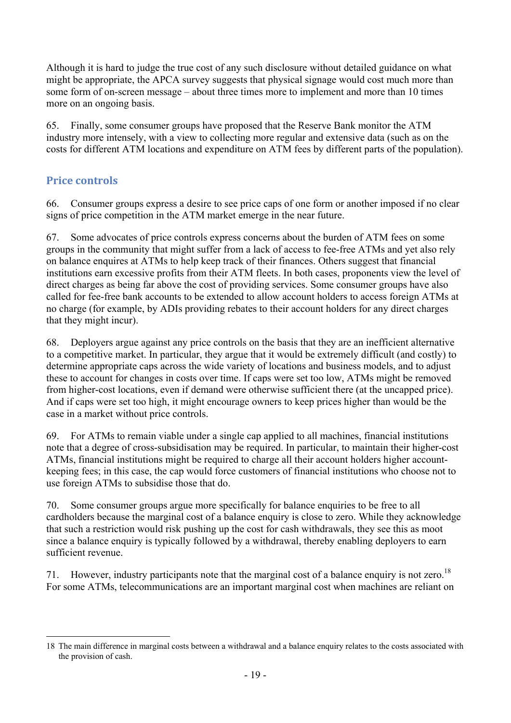Although it is hard to judge the true cost of any such disclosure without detailed guidance on what might be appropriate, the APCA survey suggests that physical signage would cost much more than some form of on-screen message – about three times more to implement and more than 10 times more on an ongoing basis.

65. Finally, some consumer groups have proposed that the Reserve Bank monitor the ATM industry more intensely, with a view to collecting more regular and extensive data (such as on the costs for different ATM locations and expenditure on ATM fees by different parts of the population).

## **Price controls**

66. Consumer groups express a desire to see price caps of one form or another imposed if no clear signs of price competition in the ATM market emerge in the near future.

67. Some advocates of price controls express concerns about the burden of ATM fees on some groups in the community that might suffer from a lack of access to fee-free ATMs and yet also rely on balance enquires at ATMs to help keep track of their finances. Others suggest that financial institutions earn excessive profits from their ATM fleets. In both cases, proponents view the level of direct charges as being far above the cost of providing services. Some consumer groups have also called for fee-free bank accounts to be extended to allow account holders to access foreign ATMs at no charge (for example, by ADIs providing rebates to their account holders for any direct charges that they might incur).

68. Deployers argue against any price controls on the basis that they are an inefficient alternative to a competitive market. In particular, they argue that it would be extremely difficult (and costly) to determine appropriate caps across the wide variety of locations and business models, and to adjust these to account for changes in costs over time. If caps were set too low, ATMs might be removed from higher-cost locations, even if demand were otherwise sufficient there (at the uncapped price). And if caps were set too high, it might encourage owners to keep prices higher than would be the case in a market without price controls.

69. For ATMs to remain viable under a single cap applied to all machines, financial institutions note that a degree of cross-subsidisation may be required. In particular, to maintain their higher-cost ATMs, financial institutions might be required to charge all their account holders higher accountkeeping fees; in this case, the cap would force customers of financial institutions who choose not to use foreign ATMs to subsidise those that do.

70. Some consumer groups argue more specifically for balance enquiries to be free to all cardholders because the marginal cost of a balance enquiry is close to zero. While they acknowledge that such a restriction would risk pushing up the cost for cash withdrawals, they see this as moot since a balance enquiry is typically followed by a withdrawal, thereby enabling deployers to earn sufficient revenue.

71. However, industry participants note that the marginal cost of a balance enquiry is not zero.<sup>18</sup> For some ATMs, telecommunications are an important marginal cost when machines are reliant on

<sup>&</sup>lt;u>.</u> 18 The main difference in marginal costs between a withdrawal and a balance enquiry relates to the costs associated with the provision of cash.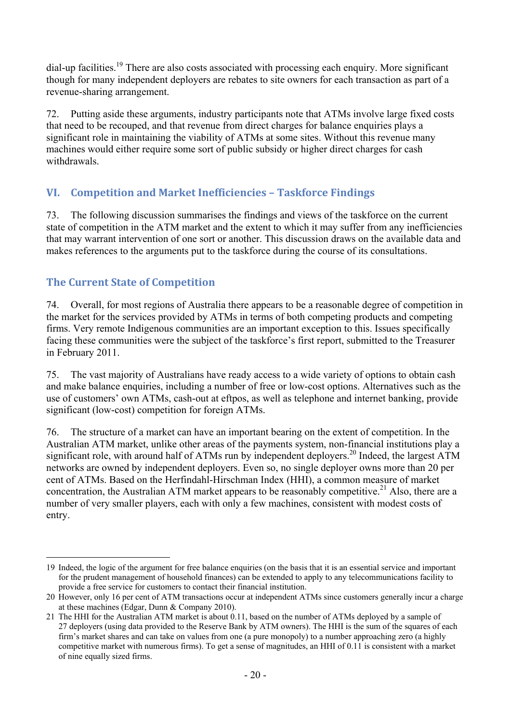dial-up facilities.<sup>19</sup> There are also costs associated with processing each enquiry. More significant though for many independent deployers are rebates to site owners for each transaction as part of a revenue-sharing arrangement.

72. Putting aside these arguments, industry participants note that ATMs involve large fixed costs that need to be recouped, and that revenue from direct charges for balance enquiries plays a significant role in maintaining the viability of ATMs at some sites. Without this revenue many machines would either require some sort of public subsidy or higher direct charges for cash withdrawals.

# **VI. Competition and Market Inefficiencies – Taskforce Findings**

73. The following discussion summarises the findings and views of the taskforce on the current state of competition in the ATM market and the extent to which it may suffer from any inefficiencies that may warrant intervention of one sort or another. This discussion draws on the available data and makes references to the arguments put to the taskforce during the course of its consultations.

# **The Current State of Competition**

1

74. Overall, for most regions of Australia there appears to be a reasonable degree of competition in the market for the services provided by ATMs in terms of both competing products and competing firms. Very remote Indigenous communities are an important exception to this. Issues specifically facing these communities were the subject of the taskforce's first report, submitted to the Treasurer in February 2011.

75. The vast majority of Australians have ready access to a wide variety of options to obtain cash and make balance enquiries, including a number of free or low-cost options. Alternatives such as the use of customers' own ATMs, cash-out at eftpos, as well as telephone and internet banking, provide significant (low-cost) competition for foreign ATMs.

76. The structure of a market can have an important bearing on the extent of competition. In the Australian ATM market, unlike other areas of the payments system, non-financial institutions play a significant role, with around half of ATMs run by independent deployers.<sup>20</sup> Indeed, the largest ATM networks are owned by independent deployers. Even so, no single deployer owns more than 20 per cent of ATMs. Based on the Herfindahl-Hirschman Index (HHI), a common measure of market concentration, the Australian ATM market appears to be reasonably competitive.<sup>21</sup> Also, there are a number of very smaller players, each with only a few machines, consistent with modest costs of entry.

<sup>19</sup> Indeed, the logic of the argument for free balance enquiries (on the basis that it is an essential service and important for the prudent management of household finances) can be extended to apply to any telecommunications facility to provide a free service for customers to contact their financial institution.

<sup>20</sup> However, only 16 per cent of ATM transactions occur at independent ATMs since customers generally incur a charge at these machines (Edgar, Dunn & Company 2010).

<sup>21</sup> The HHI for the Australian ATM market is about 0.11, based on the number of ATMs deployed by a sample of 27 deployers (using data provided to the Reserve Bank by ATM owners). The HHI is the sum of the squares of each firm's market shares and can take on values from one (a pure monopoly) to a number approaching zero (a highly competitive market with numerous firms). To get a sense of magnitudes, an HHI of 0.11 is consistent with a market of nine equally sized firms.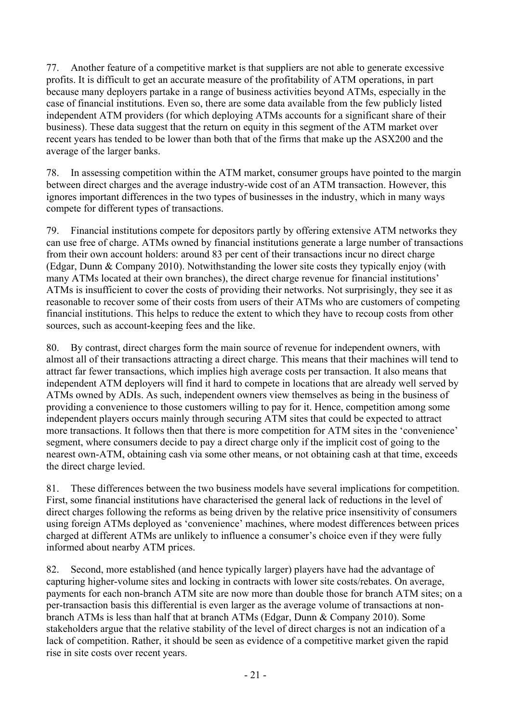77. Another feature of a competitive market is that suppliers are not able to generate excessive profits. It is difficult to get an accurate measure of the profitability of ATM operations, in part because many deployers partake in a range of business activities beyond ATMs, especially in the case of financial institutions. Even so, there are some data available from the few publicly listed independent ATM providers (for which deploying ATMs accounts for a significant share of their business). These data suggest that the return on equity in this segment of the ATM market over recent years has tended to be lower than both that of the firms that make up the ASX200 and the average of the larger banks.

78. In assessing competition within the ATM market, consumer groups have pointed to the margin between direct charges and the average industry-wide cost of an ATM transaction. However, this ignores important differences in the two types of businesses in the industry, which in many ways compete for different types of transactions.

79. Financial institutions compete for depositors partly by offering extensive ATM networks they can use free of charge. ATMs owned by financial institutions generate a large number of transactions from their own account holders: around 83 per cent of their transactions incur no direct charge (Edgar, Dunn & Company 2010). Notwithstanding the lower site costs they typically enjoy (with many ATMs located at their own branches), the direct charge revenue for financial institutions' ATMs is insufficient to cover the costs of providing their networks. Not surprisingly, they see it as reasonable to recover some of their costs from users of their ATMs who are customers of competing financial institutions. This helps to reduce the extent to which they have to recoup costs from other sources, such as account-keeping fees and the like.

80. By contrast, direct charges form the main source of revenue for independent owners, with almost all of their transactions attracting a direct charge. This means that their machines will tend to attract far fewer transactions, which implies high average costs per transaction. It also means that independent ATM deployers will find it hard to compete in locations that are already well served by ATMs owned by ADIs. As such, independent owners view themselves as being in the business of providing a convenience to those customers willing to pay for it. Hence, competition among some independent players occurs mainly through securing ATM sites that could be expected to attract more transactions. It follows then that there is more competition for ATM sites in the 'convenience' segment, where consumers decide to pay a direct charge only if the implicit cost of going to the nearest own-ATM, obtaining cash via some other means, or not obtaining cash at that time, exceeds the direct charge levied.

81. These differences between the two business models have several implications for competition. First, some financial institutions have characterised the general lack of reductions in the level of direct charges following the reforms as being driven by the relative price insensitivity of consumers using foreign ATMs deployed as 'convenience' machines, where modest differences between prices charged at different ATMs are unlikely to influence a consumer's choice even if they were fully informed about nearby ATM prices.

82. Second, more established (and hence typically larger) players have had the advantage of capturing higher-volume sites and locking in contracts with lower site costs/rebates. On average, payments for each non-branch ATM site are now more than double those for branch ATM sites; on a per-transaction basis this differential is even larger as the average volume of transactions at nonbranch ATMs is less than half that at branch ATMs (Edgar, Dunn & Company 2010). Some stakeholders argue that the relative stability of the level of direct charges is not an indication of a lack of competition. Rather, it should be seen as evidence of a competitive market given the rapid rise in site costs over recent years.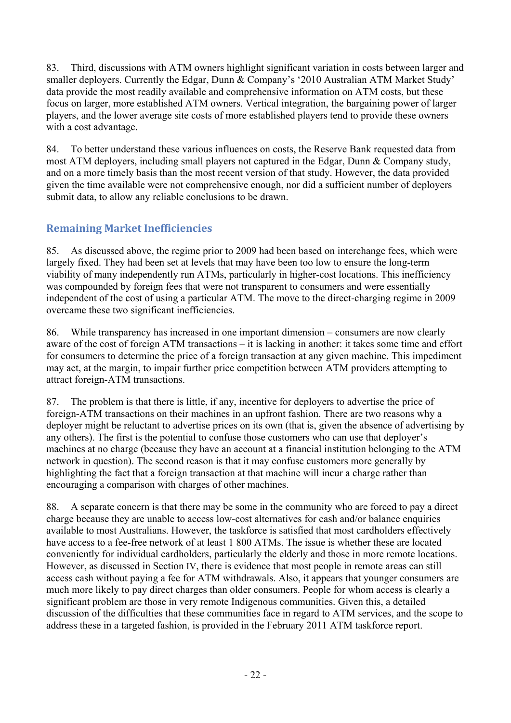83. Third, discussions with ATM owners highlight significant variation in costs between larger and smaller deployers. Currently the Edgar, Dunn & Company's '2010 Australian ATM Market Study' data provide the most readily available and comprehensive information on ATM costs, but these focus on larger, more established ATM owners. Vertical integration, the bargaining power of larger players, and the lower average site costs of more established players tend to provide these owners with a cost advantage.

84. To better understand these various influences on costs, the Reserve Bank requested data from most ATM deployers, including small players not captured in the Edgar, Dunn & Company study, and on a more timely basis than the most recent version of that study. However, the data provided given the time available were not comprehensive enough, nor did a sufficient number of deployers submit data, to allow any reliable conclusions to be drawn.

# **Remaining Market Inefficiencies**

85. As discussed above, the regime prior to 2009 had been based on interchange fees, which were largely fixed. They had been set at levels that may have been too low to ensure the long-term viability of many independently run ATMs, particularly in higher-cost locations. This inefficiency was compounded by foreign fees that were not transparent to consumers and were essentially independent of the cost of using a particular ATM. The move to the direct-charging regime in 2009 overcame these two significant inefficiencies.

86. While transparency has increased in one important dimension – consumers are now clearly aware of the cost of foreign ATM transactions – it is lacking in another: it takes some time and effort for consumers to determine the price of a foreign transaction at any given machine. This impediment may act, at the margin, to impair further price competition between ATM providers attempting to attract foreign-ATM transactions.

87. The problem is that there is little, if any, incentive for deployers to advertise the price of foreign-ATM transactions on their machines in an upfront fashion. There are two reasons why a deployer might be reluctant to advertise prices on its own (that is, given the absence of advertising by any others). The first is the potential to confuse those customers who can use that deployer's machines at no charge (because they have an account at a financial institution belonging to the ATM network in question). The second reason is that it may confuse customers more generally by highlighting the fact that a foreign transaction at that machine will incur a charge rather than encouraging a comparison with charges of other machines.

88. A separate concern is that there may be some in the community who are forced to pay a direct charge because they are unable to access low-cost alternatives for cash and/or balance enquiries available to most Australians. However, the taskforce is satisfied that most cardholders effectively have access to a fee-free network of at least 1 800 ATMs. The issue is whether these are located conveniently for individual cardholders, particularly the elderly and those in more remote locations. However, as discussed in Section IV, there is evidence that most people in remote areas can still access cash without paying a fee for ATM withdrawals. Also, it appears that younger consumers are much more likely to pay direct charges than older consumers. People for whom access is clearly a significant problem are those in very remote Indigenous communities. Given this, a detailed discussion of the difficulties that these communities face in regard to ATM services, and the scope to address these in a targeted fashion, is provided in the February 2011 ATM taskforce report.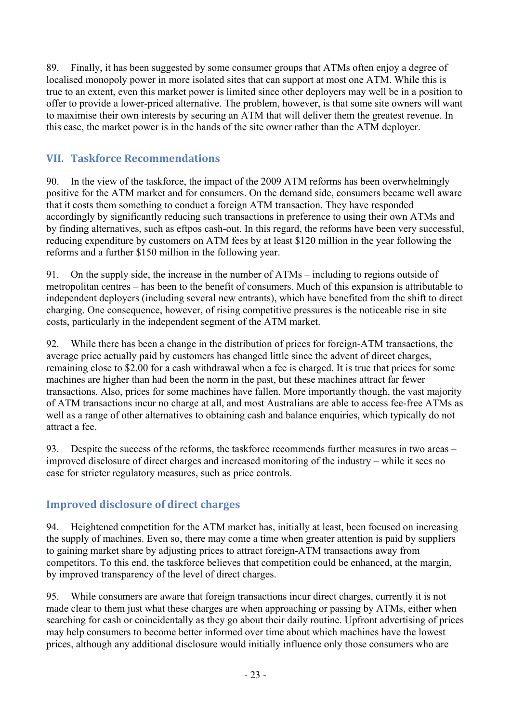89. Finally, it has been suggested by some consumer groups that ATMs often enjoy a degree of localised monopoly power in more isolated sites that can support at most one ATM. While this is true to an extent, even this market power is limited since other deployers may well be in a position to offer to provide a lower-priced alternative. The problem, however, is that some site owners will want to maximise their own interests by securing an ATM that will deliver them the greatest revenue. In this case, the market power is in the hands of the site owner rather than the ATM deployer.

# **VII. Taskforce Recommendations**

90. In the view of the taskforce, the impact of the 2009 ATM reforms has been overwhelmingly positive for the ATM market and for consumers. On the demand side, consumers became well aware that it costs them something to conduct a foreign ATM transaction. They have responded accordingly by significantly reducing such transactions in preference to using their own ATMs and by finding alternatives, such as eftpos cash-out. In this regard, the reforms have been very successful, reducing expenditure by customers on ATM fees by at least \$120 million in the year following the reforms and a further \$150 million in the following year.

91. On the supply side, the increase in the number of ATMs – including to regions outside of metropolitan centres – has been to the benefit of consumers. Much of this expansion is attributable to independent deployers (including several new entrants), which have benefited from the shift to direct charging. One consequence, however, of rising competitive pressures is the noticeable rise in site costs, particularly in the independent segment of the ATM market.

92. While there has been a change in the distribution of prices for foreign-ATM transactions, the average price actually paid by customers has changed little since the advent of direct charges, remaining close to \$2.00 for a cash withdrawal when a fee is charged. It is true that prices for some machines are higher than had been the norm in the past, but these machines attract far fewer transactions. Also, prices for some machines have fallen. More importantly though, the vast majority of ATM transactions incur no charge at all, and most Australians are able to access fee-free ATMs as well as a range of other alternatives to obtaining cash and balance enquiries, which typically do not attract a fee.

93. Despite the success of the reforms, the taskforce recommends further measures in two areas – improved disclosure of direct charges and increased monitoring of the industry – while it sees no case for stricter regulatory measures, such as price controls.

## **Improved disclosure of direct charges**

94. Heightened competition for the ATM market has, initially at least, been focused on increasing the supply of machines. Even so, there may come a time when greater attention is paid by suppliers to gaining market share by adjusting prices to attract foreign-ATM transactions away from competitors. To this end, the taskforce believes that competition could be enhanced, at the margin, by improved transparency of the level of direct charges.

95. While consumers are aware that foreign transactions incur direct charges, currently it is not made clear to them just what these charges are when approaching or passing by ATMs, either when searching for cash or coincidentally as they go about their daily routine. Upfront advertising of prices may help consumers to become better informed over time about which machines have the lowest prices, although any additional disclosure would initially influence only those consumers who are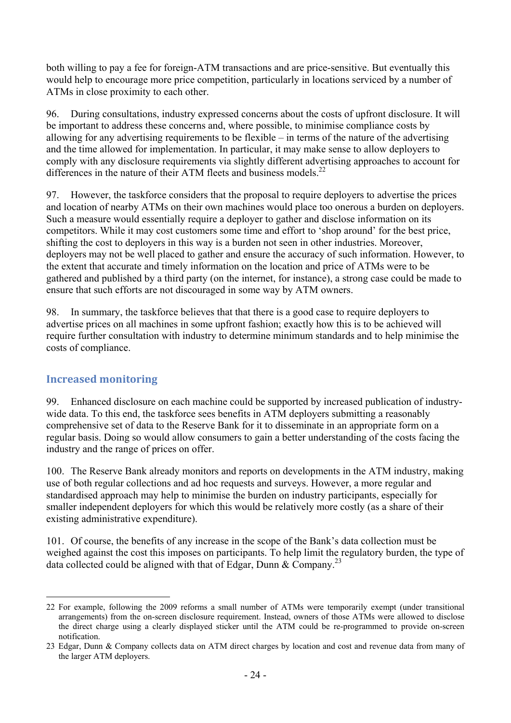both willing to pay a fee for foreign-ATM transactions and are price-sensitive. But eventually this would help to encourage more price competition, particularly in locations serviced by a number of ATMs in close proximity to each other.

96. During consultations, industry expressed concerns about the costs of upfront disclosure. It will be important to address these concerns and, where possible, to minimise compliance costs by allowing for any advertising requirements to be flexible – in terms of the nature of the advertising and the time allowed for implementation. In particular, it may make sense to allow deployers to comply with any disclosure requirements via slightly different advertising approaches to account for differences in the nature of their ATM fleets and business models.<sup>22</sup>

97. However, the taskforce considers that the proposal to require deployers to advertise the prices and location of nearby ATMs on their own machines would place too onerous a burden on deployers. Such a measure would essentially require a deployer to gather and disclose information on its competitors. While it may cost customers some time and effort to 'shop around' for the best price, shifting the cost to deployers in this way is a burden not seen in other industries. Moreover, deployers may not be well placed to gather and ensure the accuracy of such information. However, to the extent that accurate and timely information on the location and price of ATMs were to be gathered and published by a third party (on the internet, for instance), a strong case could be made to ensure that such efforts are not discouraged in some way by ATM owners.

98. In summary, the taskforce believes that that there is a good case to require deployers to advertise prices on all machines in some upfront fashion; exactly how this is to be achieved will require further consultation with industry to determine minimum standards and to help minimise the costs of compliance.

#### **Increased monitoring**

1

99. Enhanced disclosure on each machine could be supported by increased publication of industrywide data. To this end, the taskforce sees benefits in ATM deployers submitting a reasonably comprehensive set of data to the Reserve Bank for it to disseminate in an appropriate form on a regular basis. Doing so would allow consumers to gain a better understanding of the costs facing the industry and the range of prices on offer.

100. The Reserve Bank already monitors and reports on developments in the ATM industry, making use of both regular collections and ad hoc requests and surveys. However, a more regular and standardised approach may help to minimise the burden on industry participants, especially for smaller independent deployers for which this would be relatively more costly (as a share of their existing administrative expenditure).

101. Of course, the benefits of any increase in the scope of the Bank's data collection must be weighed against the cost this imposes on participants. To help limit the regulatory burden, the type of data collected could be aligned with that of Edgar, Dunn & Company.23

<sup>22</sup> For example, following the 2009 reforms a small number of ATMs were temporarily exempt (under transitional arrangements) from the on-screen disclosure requirement. Instead, owners of those ATMs were allowed to disclose the direct charge using a clearly displayed sticker until the ATM could be re-programmed to provide on-screen notification.

<sup>23</sup> Edgar, Dunn & Company collects data on ATM direct charges by location and cost and revenue data from many of the larger ATM deployers.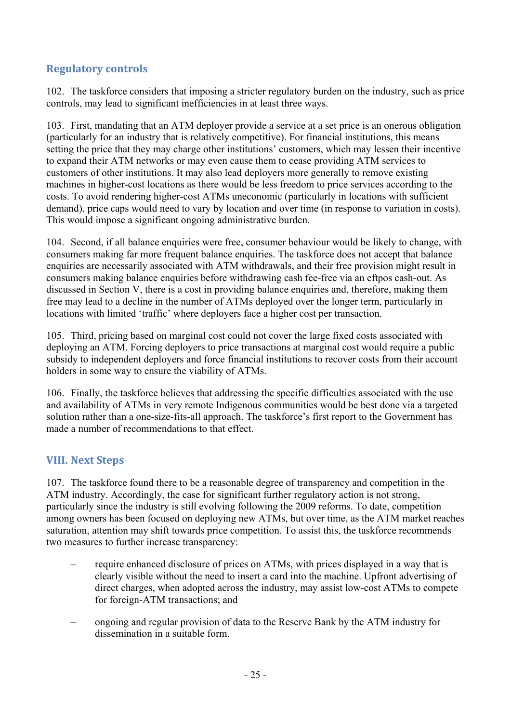## **Regulatory controls**

102. The taskforce considers that imposing a stricter regulatory burden on the industry, such as price controls, may lead to significant inefficiencies in at least three ways.

103. First, mandating that an ATM deployer provide a service at a set price is an onerous obligation (particularly for an industry that is relatively competitive). For financial institutions, this means setting the price that they may charge other institutions' customers, which may lessen their incentive to expand their ATM networks or may even cause them to cease providing ATM services to customers of other institutions. It may also lead deployers more generally to remove existing machines in higher-cost locations as there would be less freedom to price services according to the costs. To avoid rendering higher-cost ATMs uneconomic (particularly in locations with sufficient demand), price caps would need to vary by location and over time (in response to variation in costs). This would impose a significant ongoing administrative burden.

104. Second, if all balance enquiries were free, consumer behaviour would be likely to change, with consumers making far more frequent balance enquiries. The taskforce does not accept that balance enquiries are necessarily associated with ATM withdrawals, and their free provision might result in consumers making balance enquiries before withdrawing cash fee-free via an eftpos cash-out. As discussed in Section V, there is a cost in providing balance enquiries and, therefore, making them free may lead to a decline in the number of ATMs deployed over the longer term, particularly in locations with limited 'traffic' where deployers face a higher cost per transaction.

105. Third, pricing based on marginal cost could not cover the large fixed costs associated with deploying an ATM. Forcing deployers to price transactions at marginal cost would require a public subsidy to independent deployers and force financial institutions to recover costs from their account holders in some way to ensure the viability of ATMs.

106. Finally, the taskforce believes that addressing the specific difficulties associated with the use and availability of ATMs in very remote Indigenous communities would be best done via a targeted solution rather than a one-size-fits-all approach. The taskforce's first report to the Government has made a number of recommendations to that effect.

#### **VIII. Next Steps**

107. The taskforce found there to be a reasonable degree of transparency and competition in the ATM industry. Accordingly, the case for significant further regulatory action is not strong, particularly since the industry is still evolving following the 2009 reforms. To date, competition among owners has been focused on deploying new ATMs, but over time, as the ATM market reaches saturation, attention may shift towards price competition. To assist this, the taskforce recommends two measures to further increase transparency:

- require enhanced disclosure of prices on ATMs, with prices displayed in a way that is clearly visible without the need to insert a card into the machine. Upfront advertising of direct charges, when adopted across the industry, may assist low-cost ATMs to compete for foreign-ATM transactions; and
- ongoing and regular provision of data to the Reserve Bank by the ATM industry for dissemination in a suitable form.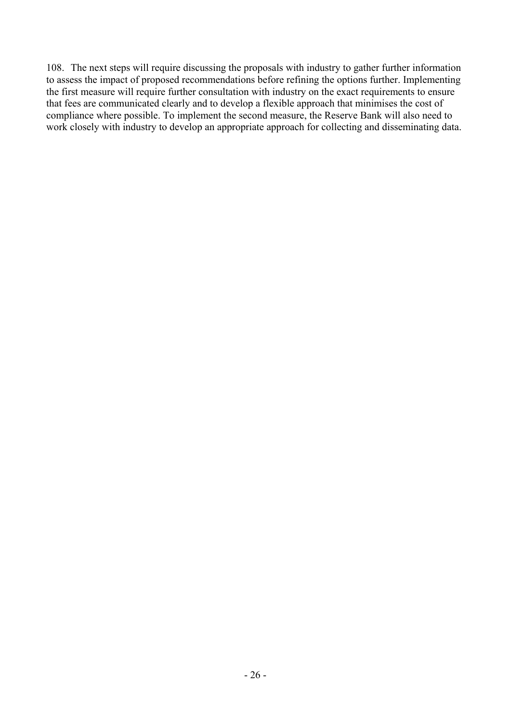108. The next steps will require discussing the proposals with industry to gather further information to assess the impact of proposed recommendations before refining the options further. Implementing the first measure will require further consultation with industry on the exact requirements to ensure that fees are communicated clearly and to develop a flexible approach that minimises the cost of compliance where possible. To implement the second measure, the Reserve Bank will also need to work closely with industry to develop an appropriate approach for collecting and disseminating data.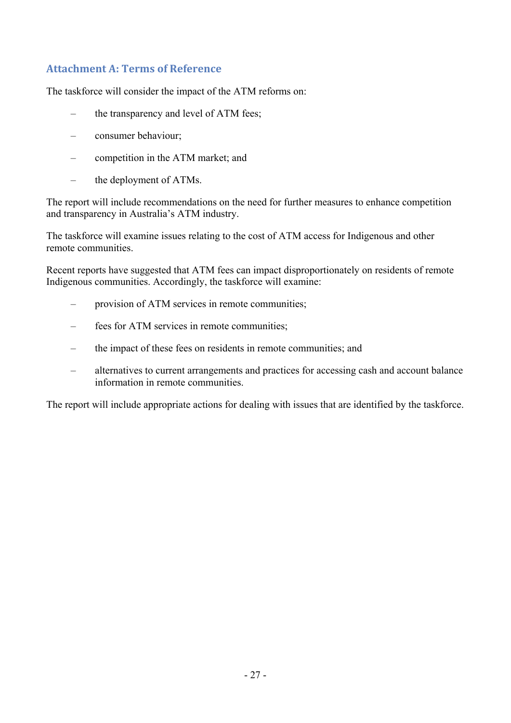# **Attachment A: Terms of Reference**

The taskforce will consider the impact of the ATM reforms on:

- the transparency and level of ATM fees;
- consumer behaviour;
- competition in the ATM market; and
- the deployment of ATMs.

The report will include recommendations on the need for further measures to enhance competition and transparency in Australia's ATM industry.

The taskforce will examine issues relating to the cost of ATM access for Indigenous and other remote communities.

Recent reports have suggested that ATM fees can impact disproportionately on residents of remote Indigenous communities. Accordingly, the taskforce will examine:

- provision of ATM services in remote communities;
- fees for ATM services in remote communities;
- the impact of these fees on residents in remote communities; and
- alternatives to current arrangements and practices for accessing cash and account balance information in remote communities.

The report will include appropriate actions for dealing with issues that are identified by the taskforce.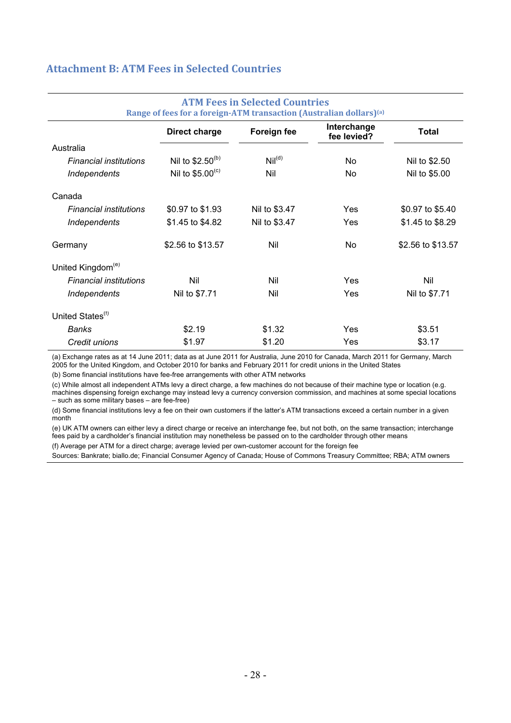## **Attachment B: ATM Fees in Selected Countries**

| AT PET COS IN SCIECCO GOUNG ICS<br>Range of fees for a foreign-ATM transaction (Australian dollars) <sup>(a)</sup> |                      |                    |                            |                   |  |  |
|--------------------------------------------------------------------------------------------------------------------|----------------------|--------------------|----------------------------|-------------------|--|--|
|                                                                                                                    | Direct charge        | Foreign fee        | Interchange<br>fee levied? | <b>Total</b>      |  |  |
| Australia                                                                                                          |                      |                    |                            |                   |  |  |
| <b>Financial institutions</b>                                                                                      | Nil to $$2.50^{(b)}$ | Nil <sup>(d)</sup> | No.                        | Nil to \$2.50     |  |  |
| Independents                                                                                                       | Nil to $$5.00^{(c)}$ | Nil                | No.                        | Nil to \$5.00     |  |  |
| Canada                                                                                                             |                      |                    |                            |                   |  |  |
| <b>Financial institutions</b>                                                                                      | \$0.97 to \$1.93     | Nil to \$3.47      | Yes                        | \$0.97 to \$5.40  |  |  |
| Independents                                                                                                       | \$1.45 to \$4.82     | Nil to \$3.47      | Yes                        | \$1.45 to \$8.29  |  |  |
| Germany                                                                                                            | \$2.56 to \$13.57    | Nil                | No.                        | \$2.56 to \$13.57 |  |  |
| United Kingdom <sup>(e)</sup>                                                                                      |                      |                    |                            |                   |  |  |
| <b>Financial institutions</b>                                                                                      | Nil                  | Nil                | <b>Yes</b>                 | Nil               |  |  |
| Independents                                                                                                       | Nil to \$7.71        | Nil                | Yes                        | Nil to \$7.71     |  |  |
| United States <sup>(f)</sup>                                                                                       |                      |                    |                            |                   |  |  |
| Banks                                                                                                              | \$2.19               | \$1.32             | Yes                        | \$3.51            |  |  |
| Credit unions                                                                                                      | \$1.97               | \$1.20             | Yes                        | \$3.17            |  |  |

# **ATM Fees in Selected Countries**

(a) Exchange rates as at 14 June 2011; data as at June 2011 for Australia, June 2010 for Canada, March 2011 for Germany, March 2005 for the United Kingdom, and October 2010 for banks and February 2011 for credit unions in the United States

(b) Some financial institutions have fee-free arrangements with other ATM networks

(c) While almost all independent ATMs levy a direct charge, a few machines do not because of their machine type or location (e.g. machines dispensing foreign exchange may instead levy a currency conversion commission, and machines at some special locations – such as some military bases – are fee-free)

(d) Some financial institutions levy a fee on their own customers if the latter's ATM transactions exceed a certain number in a given month

(e) UK ATM owners can either levy a direct charge or receive an interchange fee, but not both, on the same transaction; interchange fees paid by a cardholder's financial institution may nonetheless be passed on to the cardholder through other means (f) Average per ATM for a direct charge; average levied per own-customer account for the foreign fee

Sources: Bankrate; biallo.de; Financial Consumer Agency of Canada; House of Commons Treasury Committee; RBA; ATM owners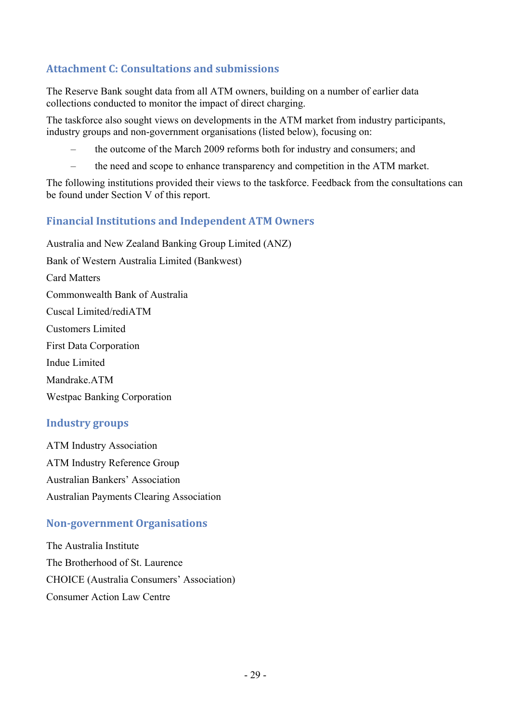# **Attachment C: Consultations and submissions**

The Reserve Bank sought data from all ATM owners, building on a number of earlier data collections conducted to monitor the impact of direct charging.

The taskforce also sought views on developments in the ATM market from industry participants, industry groups and non-government organisations (listed below), focusing on:

- the outcome of the March 2009 reforms both for industry and consumers; and
- the need and scope to enhance transparency and competition in the ATM market.

The following institutions provided their views to the taskforce. Feedback from the consultations can be found under Section V of this report.

#### **Financial Institutions and Independent ATM Owners**

Australia and New Zealand Banking Group Limited (ANZ) Bank of Western Australia Limited (Bankwest) Card Matters Commonwealth Bank of Australia Cuscal Limited/rediATM Customers Limited First Data Corporation Indue Limited Mandrake.ATM Westpac Banking Corporation

#### **Industry groups**

ATM Industry Association ATM Industry Reference Group Australian Bankers' Association Australian Payments Clearing Association

#### **Nongovernment Organisations**

The Australia Institute The Brotherhood of St. Laurence CHOICE (Australia Consumers' Association) Consumer Action Law Centre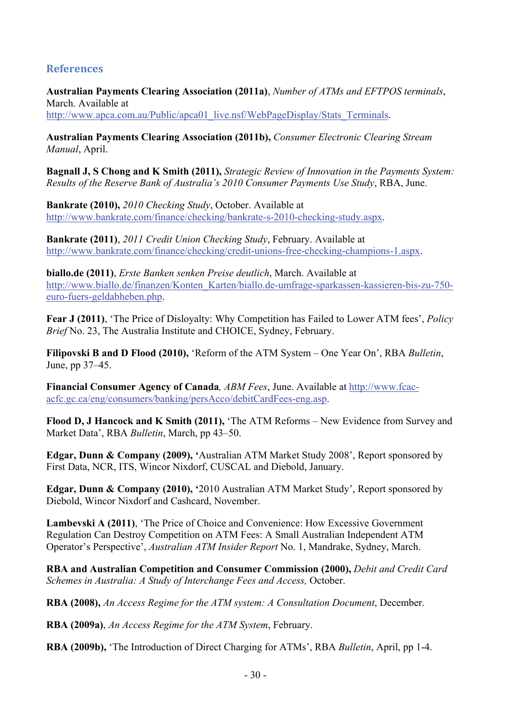#### **References**

**Australian Payments Clearing Association (2011a)**, *Number of ATMs and EFTPOS terminals*, March. Available at http://www.apca.com.au/Public/apca01\_live.nsf/WebPageDisplay/Stats\_Terminals.

**Australian Payments Clearing Association (2011b),** *Consumer Electronic Clearing Stream Manual*, April.

**Bagnall J, S Chong and K Smith (2011),** *Strategic Review of Innovation in the Payments System: Results of the Reserve Bank of Australia's 2010 Consumer Payments Use Study*, RBA, June.

**Bankrate (2010),** *2010 Checking Study*, October. Available at http://www.bankrate.com/finance/checking/bankrate-s-2010-checking-study.aspx.

**Bankrate (2011)**, *2011 Credit Union Checking Study*, February. Available at http://www.bankrate.com/finance/checking/credit-unions-free-checking-champions-1.aspx.

**biallo.de (2011)**, *Erste Banken senken Preise deutlich*, March. Available at http://www.biallo.de/finanzen/Konten\_Karten/biallo.de-umfrage-sparkassen-kassieren-bis-zu-750 euro-fuers-geldabheben.php.

**Fear J (2011)**, 'The Price of Disloyalty: Why Competition has Failed to Lower ATM fees', *Policy Brief* No. 23, The Australia Institute and CHOICE, Sydney, February.

**Filipovski B and D Flood (2010),** 'Reform of the ATM System – One Year On', RBA *Bulletin*, June, pp 37–45.

**Financial Consumer Agency of Canada***, ABM Fees*, June. Available at http://www.fcacacfc.gc.ca/eng/consumers/banking/persAcco/debitCardFees-eng.asp.

**Flood D, J Hancock and K Smith (2011),** 'The ATM Reforms – New Evidence from Survey and Market Data', RBA *Bulletin*, March, pp 43–50.

**Edgar, Dunn & Company (2009), '**Australian ATM Market Study 2008', Report sponsored by First Data, NCR, ITS, Wincor Nixdorf, CUSCAL and Diebold, January.

**Edgar, Dunn & Company (2010), '**2010 Australian ATM Market Study', Report sponsored by Diebold, Wincor Nixdorf and Cashcard, November.

**Lambevski A (2011)**, 'The Price of Choice and Convenience: How Excessive Government Regulation Can Destroy Competition on ATM Fees: A Small Australian Independent ATM Operator's Perspective', *Australian ATM Insider Report* No. 1, Mandrake, Sydney, March.

**RBA and Australian Competition and Consumer Commission (2000),** *Debit and Credit Card Schemes in Australia: A Study of Interchange Fees and Access,* October.

**RBA (2008),** *An Access Regime for the ATM system: A Consultation Document*, December.

**RBA (2009a)**, *An Access Regime for the ATM System*, February.

**RBA (2009b),** 'The Introduction of Direct Charging for ATMs', RBA *Bulletin*, April, pp 1-4.